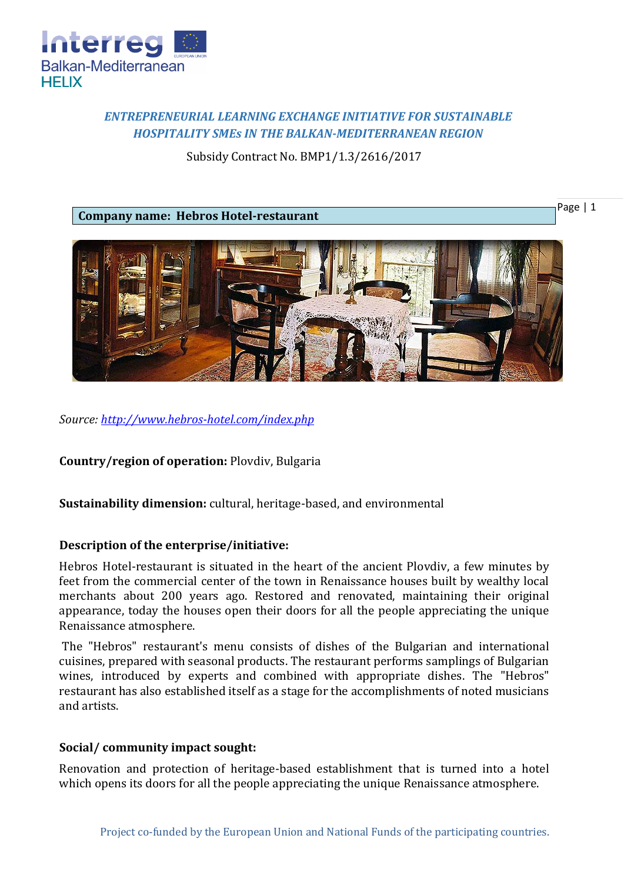

# *ENTREPRENEURIAL LEARNING EXCHANGE INITIATIVE FOR SUSTAINABLE HOSPITALITY SMEs IN THE BALKAN-MEDITERRANEAN REGION*

Subsidy Contract No. BMP1/1.3/2616/2017

**Company name: Hebros Hotel-restaurant**





*Source:<http://www.hebros-hotel.com/index.php>*

**Country/region of operation:** Plovdiv, Bulgaria

**Sustainability dimension:** cultural, heritage-based, and environmental

## **Description of the enterprise/initiative:**

Hebros Hotel-restaurant is situated in the heart of the ancient Plovdiv, a few minutes by feet from the commercial center of the town in Renaissance houses built by wealthy local merchants about 200 years ago. Restored and renovated, maintaining their original appearance, today the houses open their doors for all the people appreciating the unique Renaissance atmosphere.

The "Hebros" restaurant's menu consists of dishes of the Bulgarian and international cuisines, prepared with seasonal products. The restaurant performs samplings of Bulgarian wines, introduced by experts and combined with appropriate dishes. The "Hebros" restaurant has also established itself as a stage for the accomplishments of noted musicians and artists.

#### **Social/ community impact sought:**

Renovation and protection of heritage-based establishment that is turned into a hotel which opens its doors for all the people appreciating the unique Renaissance atmosphere.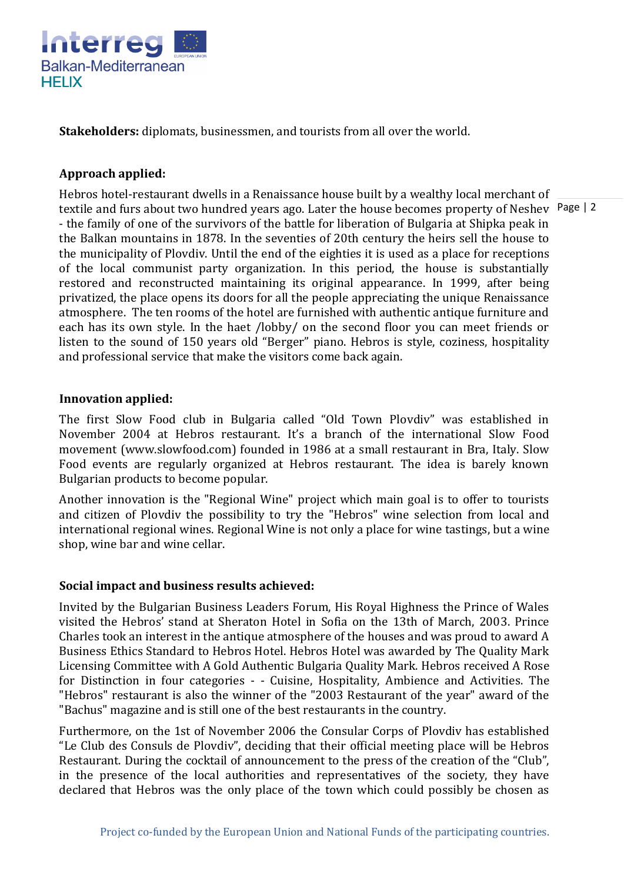

**Stakeholders:** diplomats, businessmen, and tourists from all over the world.

## **Approach applied:**

textile and furs about two hundred years ago. Later the house becomes property of Neshev Page | 2 Hebros hotel-restaurant dwells in a Renaissance house built by a wealthy local merchant of - the family of one of the survivors of the battle for liberation of Bulgaria at Shipka peak in the Balkan mountains in 1878. In the seventies of 20th century the heirs sell the house to the municipality of Plovdiv. Until the end of the eighties it is used as a place for receptions of the local communist party organization. In this period, the house is substantially restored and reconstructed maintaining its original appearance. In 1999, after being privatized, the place opens its doors for all the people appreciating the unique Renaissance atmosphere. The ten rooms of the hotel are furnished with authentic antique furniture and each has its own style. In the haet /lobby/ on the second floor you can meet friends or listen to the sound of 150 years old "Berger" piano. Hebros is style, coziness, hospitality and professional service that make the visitors come back again.

#### **Innovation applied:**

The first Slow Food club in Bulgaria called "Old Town Plovdiv" was established in November 2004 at Hebros restaurant. It's a branch of the international Slow Food movement (www.slowfood.com) founded in 1986 at a small restaurant in Bra, Italy. Slow Food events are regularly organized at Hebros restaurant. The idea is barely known Bulgarian products to become popular.

Another innovation is the "Regional Wine" project which main goal is to offer to tourists and citizen of Plovdiv the possibility to try the "Hebros" wine selection from local and international regional wines. Regional Wine is not only a place for wine tastings, but а wine shop, wine bar and wine cellar.

## **Social impact and business results achieved:**

Invited by the Bulgarian Business Leaders Forum, His Royal Highness the Prince of Wales visited the Hebros' stand at Sheraton Hotel in Sofia on the 13th of March, 2003. Prince Charles took an interest in the antique atmosphere of the houses and was proud to award A Business Ethics Standard to Hebros Hotel. Hebros Hotel was awarded by The Quality Mark Licensing Committee with A Gold Authentic Bulgaria Quality Mark. Hebros received A Rose for Distinction in four categories - - Cuisine, Hospitality, Ambience and Activities. The "Hebros" restaurant is also the winner of the "2003 Restaurant of the year" award of the "Bachus" magazine and is still one of the best restaurants in the country.

Furthermore, on the 1st of November 2006 the Consular Corps of Plovdiv has established "Le Club des Consuls de Plovdiv", deciding that their official meeting place will be Hebros Restaurant. During the cocktail of announcement to the press of the creation of the "Club". in the presence of the local authorities and representatives of the society, they have declared that Hebros was the only place of the town which could possibly be chosen as